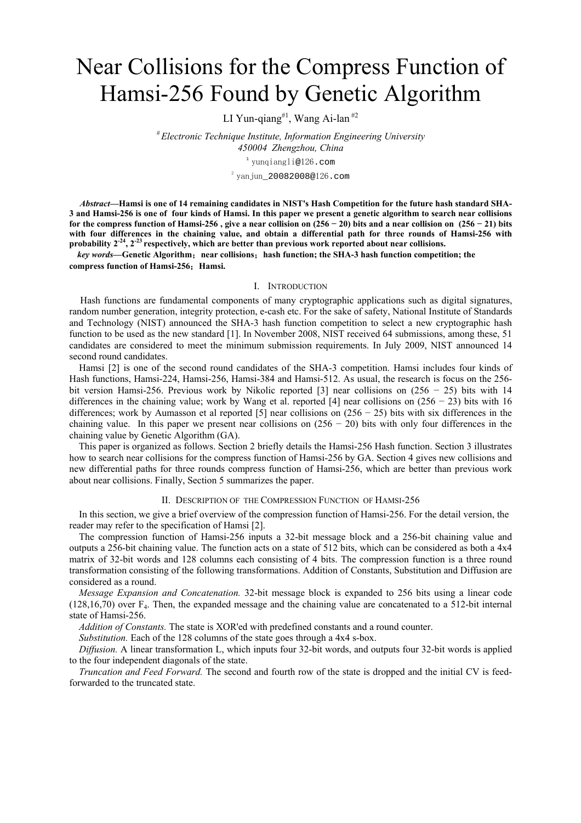# Near Collisions for the Compress Function of Hamsi-256 Found by Genetic Algorithm

LI Yun-qiang<sup>#1</sup>, Wang Ai-lan<sup>#2</sup>

*# Electronic Technique Institute, Information Engineering University 450004 Zhengzhou, China* 

<sup>1</sup> yunqiangli@126.com

 $^{\text{2}}$ yanjun\_20082008@126.com

*Abstract***—Hamsi is one of 14 remaining candidates in NIST's Hash Competition for the future hash standard SHA-3 and Hamsi-256 is one of four kinds of Hamsi. In this paper we present a genetic algorithm to search near collisions**  for the compress function of Hamsi-256, give a near collision on  $(256 - 20)$  bits and a near collision on  $(256 - 21)$  bits **with four differences in the chaining value, and obtain a differential path for three rounds of Hamsi-256 with probability 2-24, 2-23 respectively, which are better than previous work reported about near collisions.** 

 *key words—***Genetic Algorithm**;**near collisions**;**hash function; the SHA-3 hash function competition; the compress function of Hamsi-256**;**Hamsi.**

#### I. INTRODUCTION

Hash functions are fundamental components of many cryptographic applications such as digital signatures, random number generation, integrity protection, e-cash etc. For the sake of safety, National Institute of Standards and Technology (NIST) announced the SHA-3 hash function competition to select a new cryptographic hash function to be used as the new standard [1]. In November 2008, NIST received 64 submissions, among these, 51 candidates are considered to meet the minimum submission requirements. In July 2009, NIST announced 14 second round candidates.

Hamsi [2] is one of the second round candidates of the SHA-3 competition. Hamsi includes four kinds of Hash functions, Hamsi-224, Hamsi-256, Hamsi-384 and Hamsi-512. As usual, the research is focus on the 256 bit version Hamsi-256. Previous work by Nikolic reported [3] near collisions on (256 − 25) bits with 14 differences in the chaining value; work by Wang et al. reported [4] near collisions on  $(256 - 23)$  bits with 16 differences; work by Aumasson et al reported [5] near collisions on (256 − 25) bits with six differences in the chaining value. In this paper we present near collisions on  $(256 - 20)$  bits with only four differences in the chaining value by Genetic Algorithm (GA).

This paper is organized as follows. Section 2 briefly details the Hamsi-256 Hash function. Section 3 illustrates how to search near collisions for the compress function of Hamsi-256 by GA. Section 4 gives new collisions and new differential paths for three rounds compress function of Hamsi-256, which are better than previous work about near collisions. Finally, Section 5 summarizes the paper.

## II. DESCRIPTION OF THE COMPRESSION FUNCTION OF HAMSI-256

In this section, we give a brief overview of the compression function of Hamsi-256. For the detail version, the reader may refer to the specification of Hamsi [2].

The compression function of Hamsi-256 inputs a 32-bit message block and a 256-bit chaining value and outputs a 256-bit chaining value. The function acts on a state of 512 bits, which can be considered as both a 4x4 matrix of 32-bit words and 128 columns each consisting of 4 bits. The compression function is a three round transformation consisting of the following transformations. Addition of Constants, Substitution and Diffusion are considered as a round.

*Message Expansion and Concatenation.* 32-bit message block is expanded to 256 bits using a linear code (128,16,70) over F4. Then, the expanded message and the chaining value are concatenated to a 512-bit internal state of Hamsi-256.

*Addition of Constants.* The state is XOR'ed with predefined constants and a round counter.

*Substitution.* Each of the 128 columns of the state goes through a 4x4 s-box.

*Diffusion.* A linear transformation L, which inputs four 32-bit words, and outputs four 32-bit words is applied to the four independent diagonals of the state.

*Truncation and Feed Forward.* The second and fourth row of the state is dropped and the initial CV is feedforwarded to the truncated state.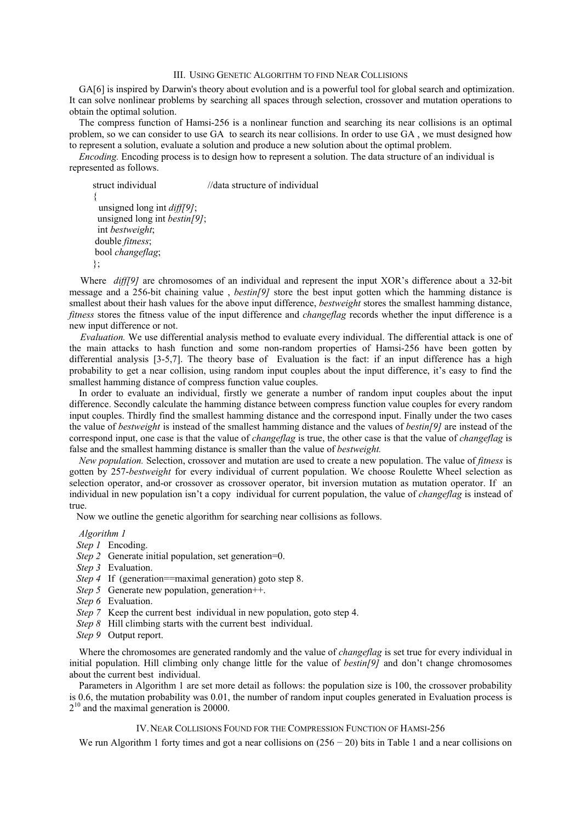### III. USING GENETIC ALGORITHM TO FIND NEAR COLLISIONS

GA[6] is inspired by Darwin's theory about evolution and is a powerful tool for global search and optimization. It can solve nonlinear problems by searching all spaces through selection, crossover and mutation operations to obtain the optimal solution.

The compress function of Hamsi-256 is a nonlinear function and searching its near collisions is an optimal problem, so we can consider to use GA to search its near collisions. In order to use GA , we must designed how to represent a solution, evaluate a solution and produce a new solution about the optimal problem.

*Encoding.* Encoding process is to design how to represent a solution. The data structure of an individual is represented as follows.

struct individual //data structure of individual { unsigned long int *diff[9]*; unsigned long int *bestin[9]*; int *bestweight*; double *fitness*; bool *changeflag*; };

Where *diff*[9] are chromosomes of an individual and represent the input XOR's difference about a 32-bit message and a 256-bit chaining value , *bestin[9]* store the best input gotten which the hamming distance is smallest about their hash values for the above input difference, *bestweight* stores the smallest hamming distance, *fitness* stores the fitness value of the input difference and *changeflag* records whether the input difference is a new input difference or not.

*Evaluation.* We use differential analysis method to evaluate every individual. The differential attack is one of the main attacks to hash function and some non-random properties of Hamsi-256 have been gotten by differential analysis [3-5,7]. The theory base of Evaluation is the fact: if an input difference has a high probability to get a near collision, using random input couples about the input difference, it's easy to find the smallest hamming distance of compress function value couples.

In order to evaluate an individual, firstly we generate a number of random input couples about the input difference. Secondly calculate the hamming distance between compress function value couples for every random input couples. Thirdly find the smallest hamming distance and the correspond input. Finally under the two cases the value of *bestweight* is instead of the smallest hamming distance and the values of *bestin[9]* are instead of the correspond input, one case is that the value of *changeflag* is true, the other case is that the value of *changeflag* is false and the smallest hamming distance is smaller than the value of *bestweight.*

*New population.* Selection, crossover and mutation are used to create a new population. The value of *fitness* is gotten by 257-*bestweight* for every individual of current population. We choose Roulette Wheel selection as selection operator, and-or crossover as crossover operator, bit inversion mutation as mutation operator. If an individual in new population isn't a copy individual for current population, the value of *changeflag* is instead of true.

Now we outline the genetic algorithm for searching near collisions as follows.

*Algorithm 1* 

*Step 1* Encoding.

- *Step 2* Generate initial population, set generation=0.
- *Step 3* Evaluation.
- *Step 4* If (generation==maximal generation) goto step 8.
- *Step 5* Generate new population, generation++.
- *Step 6* Evaluation.
- *Step 7* Keep the current best individual in new population, goto step 4.
- *Step 8* Hill climbing starts with the current best individual.
- *Step 9* Output report.

Where the chromosomes are generated randomly and the value of *changeflag* is set true for every individual in initial population. Hill climbing only change little for the value of *bestin[9]* and don't change chromosomes about the current best individual.

Parameters in Algorithm 1 are set more detail as follows: the population size is 100, the crossover probability is 0.6, the mutation probability was 0.01, the number of random input couples generated in Evaluation process is  $2^{10}$  and the maximal generation is 20000.

## IV.NEAR COLLISIONS FOUND FOR THE COMPRESSION FUNCTION OF HAMSI-256

We run Algorithm 1 forty times and got a near collisions on  $(256 - 20)$  bits in Table 1 and a near collisions on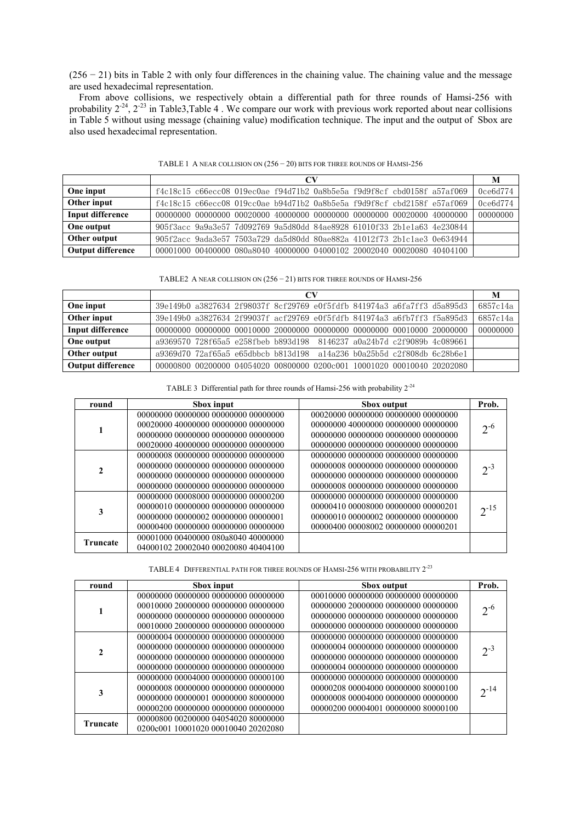(256 − 21) bits in Table 2 with only four differences in the chaining value. The chaining value and the message are used hexadecimal representation.

From above collisions, we respectively obtain a differential path for three rounds of Hamsi-256 with probability  $2^{-24}$ ,  $2^{-23}$  in Table3,Table 4. We compare our work with previous work reported about near collisions in Table 5 without using message (chaining value) modification technique. The input and the output of Sbox are also used hexadecimal representation.

|                          | CV                                                                                      |          |  |  |  |
|--------------------------|-----------------------------------------------------------------------------------------|----------|--|--|--|
| One input                | f4c18c15 c66ecc08 019ec0ae f94d71b2 0a8b5e5a f9d9f8cf cbd0158f a57af069                 | 0ce6d774 |  |  |  |
| Other input              | f4c18c15 c66ecc08 019cc0ae b94d71b2 0a8b5e5a f9d9f8cf cbd2158f e57af069                 | 0ce6d774 |  |  |  |
| Input difference         | $00000000$ $00000000$ $00020000$ $40000000$ $00000000$ $00000000$ $00020000$ $40000000$ | 00000000 |  |  |  |
| One output               | 905f3acc 9a9a3e57 7d092769 9a5d80dd 84ae8928 61010f33 2b1e1a63 4e230844                 |          |  |  |  |
| Other output             | 905f2acc 9ada3e57 7503a729 da5d80dd 80ae882a 41012f73 2b1c1ae3 0e634944                 |          |  |  |  |
| <b>Output difference</b> | 00001000 00400000 080a8040 40000000 04000102 20002040 00020080 40404100                 |          |  |  |  |

TABLE 1 A NEAR COLLISION ON (256 − 20) BITS FOR THREE ROUNDS OF HAMSI-256

TABLE2 A NEAR COLLISION ON (256 − 21) BITS FOR THREE ROUNDS OF HAMSI-256

|                   | CV |  |  |                                                                        |  | M |                                                                         |          |
|-------------------|----|--|--|------------------------------------------------------------------------|--|---|-------------------------------------------------------------------------|----------|
| One input         |    |  |  |                                                                        |  |   | 39e149b0 a3827634 2f98037f 8cf29769 e0f5fdfb 841974a3 a6fa7ff3 d5a895d3 | 6857c14a |
| Other input       |    |  |  |                                                                        |  |   | 39e149b0 a3827634 2f99037f acf29769 e0f5fdfb 841974a3 a6fb7ff3 f5a895d3 | 6857c14a |
| Input difference  |    |  |  |                                                                        |  |   |                                                                         | 00000000 |
| One output        |    |  |  | a9369570 728f65a5 e258fbeb b893d198 8146237 a0a24b7d c2f9089b 4c089661 |  |   |                                                                         |          |
| Other output      |    |  |  | a9369d70 72af65a5 e65dbbcb b813d198 a14a236 b0a25b5d c2f808db 6c28b6e1 |  |   |                                                                         |          |
| Output difference |    |  |  |                                                                        |  |   | 00000800 00200000 04054020 00800000 0200c001 10001020 00010040 20202080 |          |

TABLE 3 Differential path for three rounds of Hamsi-256 with probability  $2^{-24}$ 

| round           | Sbox input                                                                                                                                               | Sbox output                                                                                                                                              | Prob.     |
|-----------------|----------------------------------------------------------------------------------------------------------------------------------------------------------|----------------------------------------------------------------------------------------------------------------------------------------------------------|-----------|
| 1               | 00000000 00000000 00000000 00000000<br>00020000 40000000 00000000 00000000<br>00000000 00000000 00000000 00000000<br>00020000 40000000 00000000 00000000 | 00020000 00000000 00000000 00000000<br>00000000 40000000 00000000 00000000<br>00000000 00000000 00000000 00000000<br>00000000 00000000 00000000 00000000 | $2^{-6}$  |
| $\mathbf{2}$    | 00000008 00000000 00000000 00000000<br>00000000 00000000 00000000 00000000<br>00000000 00000000 00000000 00000000<br>00000000 00000000 00000000 00000000 | 00000000 00000000 00000000 00000000<br>00000008 00000000 00000000 00000000<br>00000000 00000000 00000000 00000000<br>00000008 00000000 00000000 00000000 | $2^{-3}$  |
| 3               | 00000000 00008000 00000000 00000200<br>00000010 00000000 00000000 00000000<br>00000000 00000002 00000000 00000001<br>00000400 00000000 00000000 00000000 | 00000000 00000000 00000000 00000000<br>00000410 00008000 00000000 00000201<br>00000010 00000002 00000000 00000000<br>00000400 00008002 00000000 00000201 | $2^{-15}$ |
| <b>Truncate</b> | 00001000 00400000 080a8040 40000000<br>04000102 20002040 00020080 40404100                                                                               |                                                                                                                                                          |           |

TABLE 4 DIFFERENTIAL PATH FOR THREE ROUNDS OF HAMSI-256 WITH PROBABILITY  $2^{\text{-}23}$ 

| round           | Sbox input                           | Sbox output                         | Prob.     |
|-----------------|--------------------------------------|-------------------------------------|-----------|
| 1               | 00000000 00000000 00000000 00000000  | 00010000 00000000 00000000 00000000 |           |
|                 | 00010000 20000000 00000000 00000000  | 00000000 20000000 00000000 00000000 | $2^{-6}$  |
|                 | 00000000 00000000 00000000 00000000  | 00000000 00000000 00000000 00000000 |           |
|                 | 00010000 20000000 00000000 00000000  | 00000000 00000000 00000000 00000000 |           |
|                 | 00000004 00000000 00000000 00000000  | 00000000 00000000 00000000 00000000 |           |
|                 | 00000000 00000000 00000000 00000000  | 00000004 00000000 00000000 00000000 | $2^{-3}$  |
| $\mathbf{2}$    | 00000000 00000000 00000000 00000000  | 00000000 00000000 00000000 00000000 |           |
|                 | .00000000 00000000 00000000 00000000 | 00000004 00000000 00000000 00000000 |           |
|                 | 00000000 00004000 00000000 00000100  | 00000000 00000000 00000000 00000000 |           |
| 3               | 00000008 00000000 00000000 00000000  | 00000208 00004000 00000000 80000100 | $2^{-14}$ |
|                 | 00000000 00000001 00000000 80000000  | 00000008 00004000 00000000 00000000 |           |
|                 | 00000200 00000000 00000000 00000000  | 00000200 00004001 00000000 80000100 |           |
| <b>Truncate</b> | 00000800 00200000 04054020 80000000  |                                     |           |
|                 | 0200c001 10001020 00010040 20202080  |                                     |           |